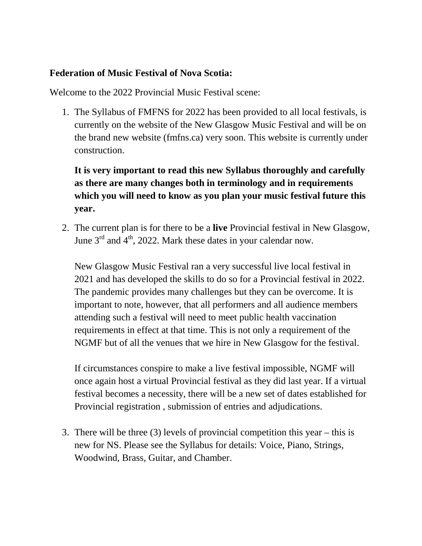## **Federation of Music Festival of Nova Scotia:**

Welcome to the 2022 Provincial Music Festival scene:

1. The Syllabus of FMFNS for 2022 has been provided to all local festivals, is currently on the website of the New Glasgow Music Festival and will be on the brand new website (fmfns.ca) very soon. This website is currently under construction.

**It is very important to read this new Syllabus thoroughly and carefully as there are many changes both in terminology and in requirements which you will need to know as you plan your music festival future this year.**

2. The current plan is for there to be a **live** Provincial festival in New Glasgow, June  $3<sup>rd</sup>$  and  $4<sup>th</sup>$ , 2022. Mark these dates in your calendar now.

New Glasgow Music Festival ran a very successful live local festival in 2021 and has developed the skills to do so for a Provincial festival in 2022. The pandemic provides many challenges but they can be overcome. It is important to note, however, that all performers and all audience members attending such a festival will need to meet public health vaccination requirements in effect at that time. This is not only a requirement of the NGMF but of all the venues that we hire in New Glasgow for the festival.

If circumstances conspire to make a live festival impossible, NGMF will once again host a virtual Provincial festival as they did last year. If a virtual festival becomes a necessity, there will be a new set of dates established for Provincial registration , submission of entries and adjudications.

3. There will be three (3) levels of provincial competition this year – this is new for NS. Please see the Syllabus for details: Voice, Piano, Strings, Woodwind, Brass, Guitar, and Chamber.